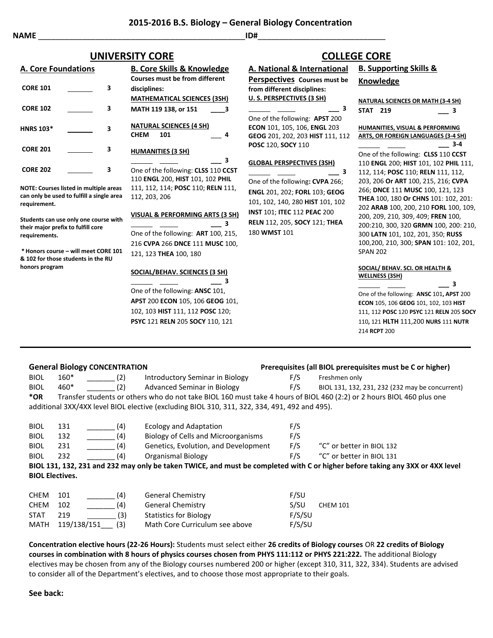# **UNIVERSITY CORE**

| <b>A. Core Foundations</b> |   | <b>B. Core Skills &amp; Knowledge</b>                                |  |  |
|----------------------------|---|----------------------------------------------------------------------|--|--|
|                            |   | Courses must be from different                                       |  |  |
| <b>CORE 101</b>            | З | disciplines:                                                         |  |  |
|                            |   | <b>MATHEMATICAL SCIENCES (3SH)</b>                                   |  |  |
| <b>CORE 102</b>            | з | MATH 119 138, or 151<br>- 3                                          |  |  |
| <b>HNRS 103*</b>           | 3 | <b>NATURAL SCIENCES (4 SH)</b><br><b>CHEM</b><br>101<br>4            |  |  |
| <b>CORE 201</b>            | 3 | <b>HUMANITIES (3 SH)</b>                                             |  |  |
|                            |   | з                                                                    |  |  |
| <b>CORE 202</b>            | 3 | One of the following: CLSS 110 CO<br>110 ENGL 200 LIICT 101 102 BLII |  |  |

**NOTE: Courses listed in multiple areas can only be used to fulfill a single area requirement.**

**Students can use only one course with their major prefix to fulfill core requirements.**

**\* Honors course – will meet CORE 101 & 102 for those students in the RU honors program**

| <b>MATHEMATICAL SCIENCES (3SH)</b>                 |
|----------------------------------------------------|
| MATH 119 138. or 151<br>3                          |
| <b>NATURAL SCIENCES (4 SH)</b><br>СНЕМ<br>101<br>4 |
| <b>HUMANITIES (3 SH)</b>                           |
| з                                                  |
| One of the following: CLSS 110 CCST                |
| 110 ENGL 200, HIST 101, 102 PHIL                   |
| 111, 112, 114; POSC 110; RELN 111,                 |
| 112.203.206                                        |
| <b>VISUAL &amp; PERFORMING ARTS (3 SH)</b><br>з    |
| One of the following: ART 100, 215,                |
| 216 CVPA 266 DNCE 111 MUSC 100.                    |
|                                                    |

#### **SOCIAL/BEHAV. SCIENCES (3**

121, 123 **THEA** 100, 180

 **\_\_\_ 3** One of the following: ANSC **APST** 200 **ECON** 105, 106 **GEOG** 101, 102, 103 **HIST** 111, 112 **POSC** 120; **PSYC** 121 **RELN** 205 **SOCY** 110, 121

|                                                                                               |                                                                                                                                                                                                                                      | <b>COLLEGE CORE</b>                                                                                                                                                                                                                                                                                                                                                                                                                                             |
|-----------------------------------------------------------------------------------------------|--------------------------------------------------------------------------------------------------------------------------------------------------------------------------------------------------------------------------------------|-----------------------------------------------------------------------------------------------------------------------------------------------------------------------------------------------------------------------------------------------------------------------------------------------------------------------------------------------------------------------------------------------------------------------------------------------------------------|
| <u>edge</u>                                                                                   | <b>A. National &amp; International</b>                                                                                                                                                                                               | <b>B. Supporting Skills &amp;</b>                                                                                                                                                                                                                                                                                                                                                                                                                               |
| rent:                                                                                         | Perspectives Courses must be<br>from different disciplines:                                                                                                                                                                          | Knowledge                                                                                                                                                                                                                                                                                                                                                                                                                                                       |
| (3SH)<br>3                                                                                    | U. S. PERSPECTIVES (3 SH)<br>3<br>One of the following: APST 200                                                                                                                                                                     | <b>NATURAL SCIENCES OR MATH (3-4 SH)</b><br><b>STAT 219</b><br>3                                                                                                                                                                                                                                                                                                                                                                                                |
| 4                                                                                             | ECON 101, 105, 106, ENGL 203<br>GEOG 201, 202, 203 HIST 111, 112<br>POSC 120, SOCY 110                                                                                                                                               | HUMANITIES, VISUAL & PERFORMING<br><b>ARTS, OR FOREIGN LANGUAGES (3-4 SH)</b><br>$3 - 4$                                                                                                                                                                                                                                                                                                                                                                        |
| З<br>110 CCST<br>2 PHIL<br><b>ELN</b> 111,<br>(TS (3 SH)<br>3<br>100, 215,<br><b>USC</b> 100, | <b>GLOBAL PERSPECTIVES (3SH)</b><br>3<br>One of the following: CVPA 266;<br>ENGL 201, 202; FORL 103; GEOG<br>101, 102, 140, 280 HIST 101, 102<br><b>INST 101; ITEC 112 PEAC 200</b><br>RELN 112, 205, SOCY 121; THEA<br>180 WMST 101 | One of the following: CLSS 110 CCST<br>110 ENGL 200; HIST 101, 102 PHIL 111,<br>112, 114; POSC 110; RELN 111, 112,<br>203, 206 Or ART 100, 215, 216; CVPA<br>266; DNCE 111 MUSC 100, 121, 123<br>THEA 100, 180 Or CHNS 101: 102, 201:<br>202 ARAB 100, 200, 210 FORL 100, 109,<br>200, 209, 210, 309, 409; FREN 100,<br>200:210, 300, 320 GRMN 100, 200: 210,<br>300 LATN 101, 102, 201, 350; RUSS<br>100,200, 210, 300; SPAN 101: 102, 201,<br><b>SPAN 202</b> |
| 3 SH)<br>3<br>101,                                                                            |                                                                                                                                                                                                                                      | SOCIAL/ BEHAV. SCI. OR HEALTH &<br><b>WELLNESS (3SH)</b><br>3<br>One of the following: ANSC 101, APST 200                                                                                                                                                                                                                                                                                                                                                       |
|                                                                                               |                                                                                                                                                                                                                                      |                                                                                                                                                                                                                                                                                                                                                                                                                                                                 |

**ECON** 105, 106 **GEOG** 101, 102, 103 **HIST** 111, 112 **POSC** 120 **PSYC** 121 **RELN** 205 **SOCY** 110**,** 121 **HLTH** 111,200 **NURS** 111 **NUTR**  214 **RCPT** 200

**BIOL 3XX or 4XX level** 

### **General Biology CONCENTRATION Prerequisites (all BIOL prerequisites must be C or higher)**

| <b>BIOL</b>                                                                                   | $160*$<br>(2) | Introductory Seminar in Biology                                                                                       | F/S | Freshmen only                                   |
|-----------------------------------------------------------------------------------------------|---------------|-----------------------------------------------------------------------------------------------------------------------|-----|-------------------------------------------------|
| <b>BIOL</b>                                                                                   | 460*<br>(2)   | Advanced Seminar in Biology                                                                                           | F/S | BIOL 131, 132, 231, 232 (232 may be concurrent) |
| *OR                                                                                           |               | Transfer students or others who do not take BIOL 160 must take 4 hours of BIOL 460 (2:2) or 2 hours BIOL 460 plus one |     |                                                 |
| additional 3XX/4XX level BIOL elective (excluding BIOL 310, 311, 322, 334, 491, 492 and 495). |               |                                                                                                                       |     |                                                 |
|                                                                                               |               |                                                                                                                       |     |                                                 |

| <b>BIOL</b> | 131                    | (4) | <b>Ecology and Adaptation</b>                                                                                | F/S |                           |
|-------------|------------------------|-----|--------------------------------------------------------------------------------------------------------------|-----|---------------------------|
| <b>BIOL</b> | 132                    | (4) | Biology of Cells and Microorganisms                                                                          | F/S |                           |
| <b>BIOL</b> | 231                    | (4) | Genetics, Evolution, and Development                                                                         | F/S | "C" or better in BIOL 132 |
| <b>BIOL</b> | 232                    | (4) | Organismal Biology                                                                                           | F/S | "C" or better in BIOL 131 |
|             |                        |     | BIOL 131, 132, 231 and 232 may only be taken TWICE, and must be completed with C or higher before taking any |     |                           |
|             | <b>BIOL Electives.</b> |     |                                                                                                              |     |                           |
|             |                        |     |                                                                                                              |     |                           |

| (4)        | <b>General Chemistry</b>        | F/SU                    |
|------------|---------------------------------|-------------------------|
| (4)        | <b>General Chemistry</b>        | S/SU<br><b>CHEM 101</b> |
| (3)<br>219 | Statistics for Biology          | F/S/SU                  |
| (3)        | Math Core Curriculum see above  | F/S/SU                  |
|            | -101<br>102<br>MATH 119/138/151 |                         |

**Concentration elective hours (22-26 Hours):** Students must select either **26 credits of Biology courses** OR **22 credits of Biology courses in combination with 8 hours of physics courses chosen from PHYS 111:112 or PHYS 221:222.** The additional Biology electives may be chosen from any of the Biology courses numbered 200 or higher (except 310, 311, 322, 334). Students are advised to consider all of the Department's electives, and to choose those most appropriate to their goals.

#### **See back:**